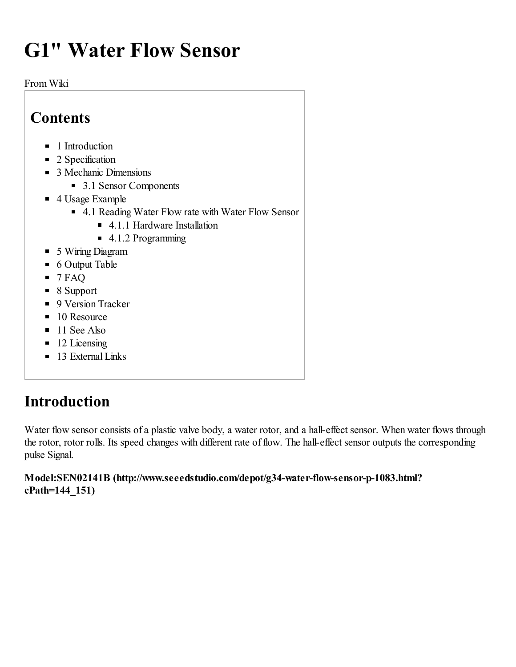# G1" Water Flow Sensor

From Wiki

| Contents                                             |  |
|------------------------------------------------------|--|
| $\blacksquare$ 1 Introduction                        |  |
| 2 Specification<br>П                                 |  |
| ■ 3 Mechanic Dimensions                              |  |
| $\blacksquare$ 3.1 Sensor Components                 |  |
| $\blacksquare$ 4 Usage Example                       |  |
| ■ 4.1 Reading Water Flow rate with Water Flow Sensor |  |
| 4.1.1 Hardware Installation                          |  |
| $\blacksquare$ 4.1.2 Programming                     |  |
| • 5 Wiring Diagram                                   |  |
| 6 Output Table<br>П                                  |  |
| $\blacksquare$ 7 FAQ                                 |  |
| $\blacksquare$ 8 Support                             |  |
| 9 Version Tracker<br>П                               |  |
| $\blacksquare$ 10 Resource                           |  |
| $\blacksquare$ 11 See Also                           |  |
| 12 Licensing<br>п                                    |  |
| 13 External Links<br>П                               |  |

### <span id="page-0-0"></span>Introduction

Water flow sensor consists of a plastic valve body, a water rotor, and a hall-effect sensor. When water flows through the rotor, rotor rolls. Its speed changes with different rate of flow. The hall-effect sensor outputs the corresponding pulse Signal.

#### Model:SEN02141B [\(http://www.seeedstudio.com/depot/g34-water-flow-sensor-p-1083.html?](http://www.seeedstudio.com/depot/g34-water-flow-sensor-p-1083.html?cPath=144_151) cPath=144\_151)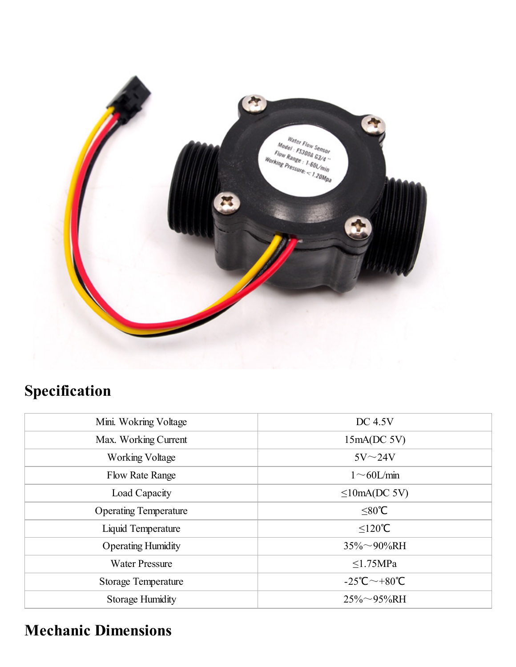

# <span id="page-1-0"></span>Specification

| Mini. Wokring Voltage        | <b>DC 4.5V</b>                          |  |
|------------------------------|-----------------------------------------|--|
| Max. Working Current         | 15mA(DC 5V)                             |  |
| <b>Working Voltage</b>       | $5V\sim 24V$                            |  |
| <b>Flow Rate Range</b>       | $1 \sim 60$ L/min                       |  |
| Load Capacity                | $\leq$ 10mA(DC 5V)                      |  |
| <b>Operating Temperature</b> | $≤80$ °C                                |  |
| Liquid Temperature           | $\leq$ 120℃                             |  |
| <b>Operating Humidity</b>    | $35\% \sim 90\% RH$                     |  |
| <b>Water Pressure</b>        | $\leq$ 1.75MPa                          |  |
| <b>Storage Temperature</b>   | $-25^{\circ}$ C $\sim$ +80 $^{\circ}$ C |  |
| Storage Humidity             | $25\% \sim 95\%$ RH                     |  |

# <span id="page-1-1"></span>Mechanic Dimensions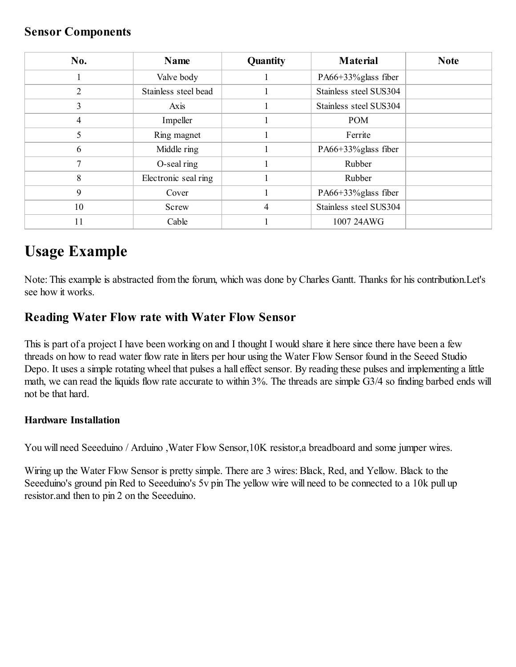#### <span id="page-2-0"></span>Sensor Components

| No.            | Name                 | <b>Quantity</b> | <b>Material</b>        | <b>Note</b> |
|----------------|----------------------|-----------------|------------------------|-------------|
|                | Valve body           |                 | PA66+33% glass fiber   |             |
| $\overline{2}$ | Stainless steel bead |                 | Stainless steel SUS304 |             |
| 3              | Axis                 |                 | Stainless steel SUS304 |             |
| 4              | Impeller             |                 | <b>POM</b>             |             |
| 5              | Ring magnet          |                 | Ferrite                |             |
| 6              | Middle ring          |                 | PA66+33% glass fiber   |             |
| 7              | O-seal ring          |                 | Rubber                 |             |
| 8              | Electronic seal ring |                 | Rubber                 |             |
| 9              | Cover                |                 | PA66+33% glass fiber   |             |
| 10             | Screw                | 4               | Stainless steel SUS304 |             |
| 11             | Cable                |                 | 1007 24AWG             |             |

### <span id="page-2-1"></span>Usage Example

Note: This example is abstracted from the forum, which was done by Charles Gantt. Thanks for his contribution.Let's see how it works.

#### <span id="page-2-2"></span>Reading Water Flow rate with Water Flow Sensor

This is part of a project I have been working on and I thought I would share it here since there have been a few threads on how to read water flow rate in liters per hour using the Water Flow Sensor found in the Seeed Studio Depo. It uses a simple rotating wheel that pulses a hall effect sensor. By reading these pulses and implementing a little math, we can read the liquids flow rate accurate to within 3%. The threads are simple G3/4 so finding barbed ends will not be that hard.

#### <span id="page-2-3"></span>Hardware Installation

You will need Seeeduino / Arduino ,Water Flow Sensor,10K resistor,a breadboard and some jumper wires.

Wiring up the Water Flow Sensor is pretty simple. There are 3 wires: Black, Red, and Yellow. Black to the Seeeduino's ground pin Red to Seeeduino's 5y pin The yellow wire will need to be connected to a 10k pull up resistor.and then to pin 2 on the Seeeduino.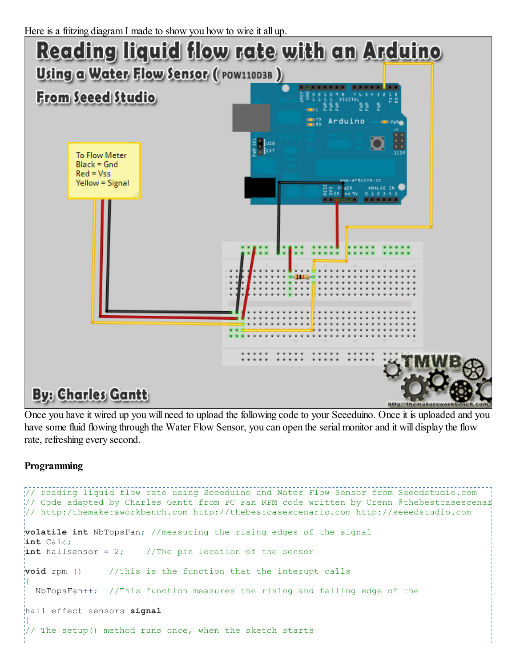

Once you have it wired up you will need to upload the following code to your Seeeduino. Once it is uploaded and you have some fluid flowing through the Water Flow Sensor, you can open the serial monitor and it will display the flow rate, refreshing every second.

#### <span id="page-3-0"></span>Programming

```
// reading liquid flow rate using Seeeduino and Water Flow Sensor from Seeedstudio.com
1/ Code adapted by Charles Gantt from PC Fan RPM code written by Crenn @thebestcasescenario
// http:/themakersworkbench.com http://thebestcasescenario.com http://seeedstudio.com
volatile int NbTopsFan; //measuring the rising edges of the signal
int Calc;
\frac{1}{2}int hallsensor = 2; //The pin location of the sensor
void rpm () //This is the function that the interupt calls
\{ \}NbTopsFan++; //This function measures the rising and falling edge of the
hall effect sensors signal
}
\frac{1}{2}/ The setup() method runs once, when the sketch starts
```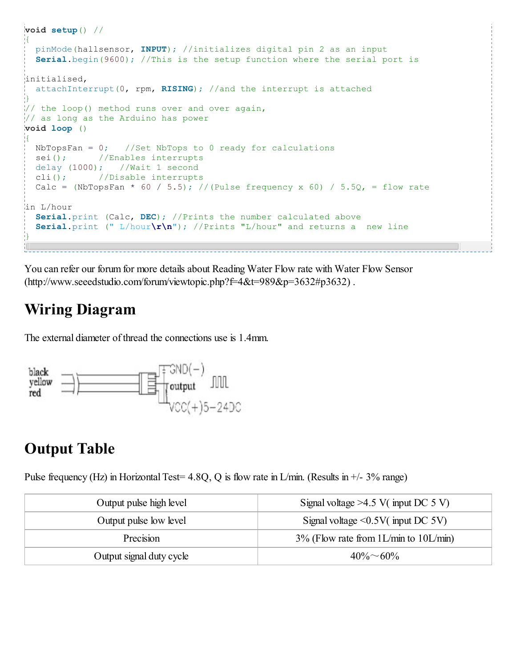```
\frac{1}{2}void setup() //
į{
 pinMode(hallsensor, INPUT); //initializes digital pin 2 as an input
  Serial.begin(9600); //This is the setup function where the serial port is
initialised,
 attachInterrupt(0, rpm, RISING); // and the interrupt is attached
}
\frac{1}{2} the loop() method runs over and over again,
// as long as the Arduino has power
void loop ()
\left\{ \cdot \right\}NbTopsFan = 0; //Set NbTops to 0 ready for calculations
 sei(); //Enables interrupts
 delay (1000); //Wait 1 second
 cli(); //Disable interrupts
 Calc = (NbTopsFan * 60 / 5.5); //(Pulse frequency x 60) / 5.5Q, = flow rate
in L/hour
 Serial.print (Calc, DEC); //Prints the number calculated above
  Serial.print (" L/hour\rightharpoonup r\urcorner); //Prints "L/hour" and returns a new line
}
```
You can refer our forum for more details about Reading Water Flow rate with Water Flow Sensor [\(http://www.seeedstudio.com/forum/viewtopic.php?f=4&t=989&p=3632#p3632\)](http://www.seeedstudio.com/forum/viewtopic.php?f=4&t=989&p=3632#p3632) .

### <span id="page-4-0"></span>Wiring Diagram

The external diameter of thread the connections use is 1.4mm.



### <span id="page-4-1"></span>Output Table

Pulse frequency (Hz) in Horizontal Test=  $4.8Q$ , Q is flow rate in L/min. (Results in  $+/- 3\%$  range)

| Output pulse high level  | Signal voltage $>4.5$ V( input DC 5 V)   |  |  |
|--------------------------|------------------------------------------|--|--|
| Output pulse low level   | Signal voltage $\leq 0.5V$ (input DC 5V) |  |  |
| Precision                | $3\%$ (Flow rate from 1L/min to 10L/min) |  |  |
| Output signal duty cycle | $40\% \sim 60\%$                         |  |  |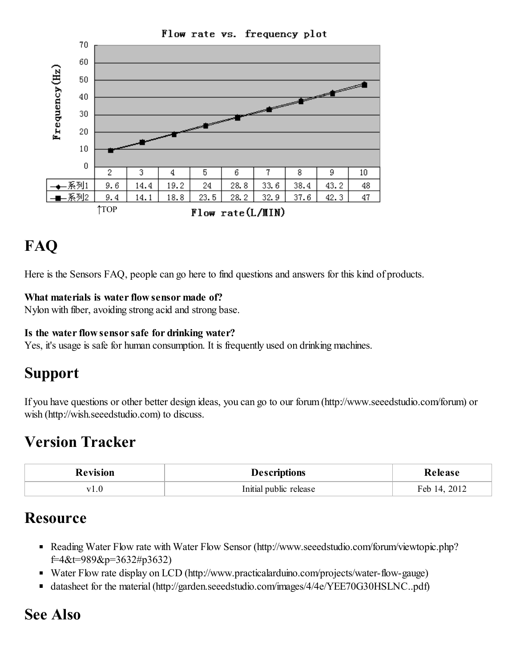

### <span id="page-5-0"></span>FAQ

Here is the [Sensors](http://www.seeedstudio.com/wiki/index.php?title=Sensors_FAQ&action=edit&redlink=1) FAQ, people can go here to find questions and answers for this kind of products.

#### What materials is water flow sensor made of?

Nylon with fiber, avoiding strong acid and strong base.

#### Is the water flow sensor safe for drinking water?

Yes, it's usage is safe for human consumption. It is frequently used on drinking machines.

#### <span id="page-5-1"></span>Support

If you have questions or other better design ideas, you can go to our forum [\(http://www.seeedstudio.com/forum\)](http://www.seeedstudio.com/forum) or wish [\(http://wish.seeedstudio.com\)](http://wish.seeedstudio.com/) to discuss.

### <span id="page-5-2"></span>Version Tracker

| <b>Revision</b> | <b>Descriptions</b>    | lease       |
|-----------------|------------------------|-------------|
| V <sub>1</sub>  | Initial public release | 2012<br>Feb |

#### <span id="page-5-3"></span>**Resource**

- Reading Water Flow rate with Water Flow Sensor [\(http://www.seeedstudio.com/forum/viewtopic.php?](http://www.seeedstudio.com/forum/viewtopic.php?f=4&t=989&p=3632#p3632) f=4&t=989&p=3632#p3632)
- Water Flow rate display on LCD [\(http://www.practicalarduino.com/projects/water-flow-gauge\)](http://www.practicalarduino.com/projects/water-flow-gauge)
- datasheet for the material (http://garden.seeedstudio.com/images/4/4e/YEE70G30HSLNC..pdf)

#### <span id="page-5-4"></span>See Also